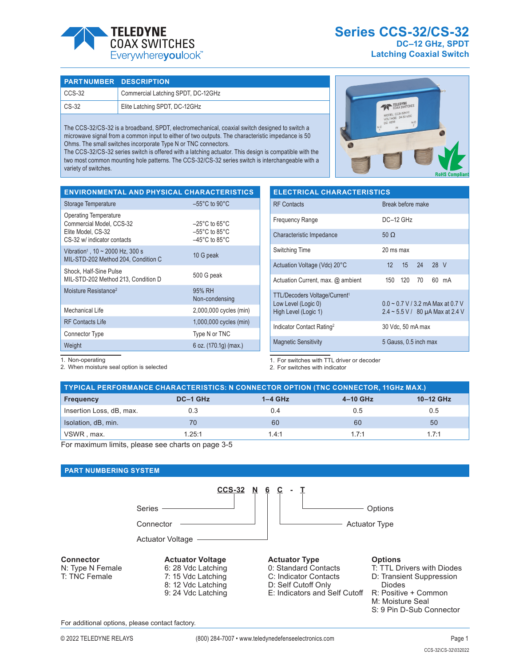

**Series CCS-32/CS-32 DC–12 GHz, SPDT Latching Coaxial Switch**

# **PART NUMBER DESCRIPTION**

| l CCS-32                | Commercial Latching SPDT, DC-12GHz |
|-------------------------|------------------------------------|
| $\mathsf{CS}\text{-}32$ | Elite Latching SPDT, DC-12GHz      |

The CCS-32/CS-32 is a broadband, SPDT, electromechanical, coaxial switch designed to switch a microwave signal from a common input to either of two outputs. The characteristic impedance is 50 Ohms. The small switches incorporate Type N or TNC connectors.

The CCS-32/CS-32 series switch is offered with a latching actuator. This design is compatible with the two most common mounting hole patterns. The CCS-32/CS-32 series switch is interchangeable with a variety of switches.

| TELEDYNE<br>COAX SWITCHES<br>MODEL: CCS-32N10<br>VOLTAGE: 24-30 VDC<br>DC: 0239<br>$\frac{N}{2}$<br>N.C<br>IN |                       |
|---------------------------------------------------------------------------------------------------------------|-----------------------|
|                                                                                                               | <b>RoHS Compliant</b> |

| <b>ENVIRONMENTAL AND PHYSICAL CHARACTERISTICS</b>                                                             |                                                                                                                |
|---------------------------------------------------------------------------------------------------------------|----------------------------------------------------------------------------------------------------------------|
| Storage Temperature                                                                                           | $-55^{\circ}$ C to 90 $^{\circ}$ C                                                                             |
| <b>Operating Temperature</b><br>Commercial Model, CCS-32<br>Elite Model, CS-32<br>CS-32 w/ indicator contacts | $-25^{\circ}$ C to 65 $^{\circ}$ C<br>$-55^{\circ}$ C to 85 $^{\circ}$ C<br>$-45^{\circ}$ C to 85 $^{\circ}$ C |
| Vibration <sup>1</sup> , $10 \sim 2000$ Hz, 300 s<br>MIL-STD-202 Method 204, Condition C                      | 10 G peak                                                                                                      |
| Shock, Half-Sine Pulse<br>MIL-STD-202 Method 213, Condition D                                                 | 500 G peak                                                                                                     |
| Moisture Resistance <sup>2</sup>                                                                              | 95% RH<br>Non-condensing                                                                                       |
| Mechanical Life                                                                                               | 2,000,000 cycles (min)                                                                                         |
| <b>RF Contacts Life</b>                                                                                       | 1,000,000 cycles (min)                                                                                         |
| Connector Type                                                                                                | Type N or TNC                                                                                                  |
| Weight                                                                                                        | 6 oz. (170.1g) (max.)                                                                                          |

| <b>ELECTRICAL CHARACTERISTICS</b>                                                                                                                                           |                       |  |  |  |
|-----------------------------------------------------------------------------------------------------------------------------------------------------------------------------|-----------------------|--|--|--|
| <b>RF</b> Contacts                                                                                                                                                          | Break before make     |  |  |  |
| <b>Frequency Range</b>                                                                                                                                                      | $DC-12$ GHz           |  |  |  |
| Characteristic Impedance                                                                                                                                                    | $50 \Omega$           |  |  |  |
| Switching Time                                                                                                                                                              | 20 ms max             |  |  |  |
| Actuation Voltage (Vdc) 20°C                                                                                                                                                | 15 24 28 V<br>12      |  |  |  |
| Actuation Current, max. @ ambient                                                                                                                                           | 150 120 70<br>60 mA   |  |  |  |
| TTL/Decoders Voltage/Current <sup>1</sup><br>$0.0 \sim 0.7$ V / 3.2 mA Max at 0.7 V<br>Low Level (Logic 0)<br>High Level (Logic 1)<br>$2.4 \sim 5.5$ V / 80 µA Max at 2.4 V |                       |  |  |  |
| Indicator Contact Rating <sup>2</sup>                                                                                                                                       | 30 Vdc, 50 mA max     |  |  |  |
| <b>Magnetic Sensitivity</b>                                                                                                                                                 | 5 Gauss, 0.5 inch max |  |  |  |

1. Non-operating

2. When moisture seal option is selected

1. For switches with TTL driver or decoder

2. For switches with indicator

| TYPICAL PERFORMANCE CHARACTERISTICS: N CONNECTOR OPTION (TNC CONNECTOR, 11GHz MAX.) |          |           |          |           |  |
|-------------------------------------------------------------------------------------|----------|-----------|----------|-----------|--|
| <b>Frequency</b>                                                                    | DC-1 GHz | $1-4$ GHz | 4-10 GHz | 10-12 GHz |  |
| Insertion Loss, dB, max.                                                            | 0.3      | 0.4       | 0.5      | 0.5       |  |
| Isolation, dB, min.                                                                 | 70       | 60        | 60       | 50        |  |
| VSWR, max.                                                                          | 1.25:1   | 14.1      | 17.1     | 1.7:1     |  |

For maximum limits, please see charts on page 3-5

## **PART NUMBERING SYSTEM**



#### **Connector** N: Type N Female

T: TNC Female

# **Actuator Voltage** 6: 28 Vdc Latching

7: 15 Vdc Latching 8: 12 Vdc Latching 9: 24 Vdc Latching

# **Actuator Type**

- 0: Standard Contacts
- C: Indicator Contacts
- D: Self Cutoff Only
- E: Indicators and Self Cutoff
	- M: Moisture Seal

Diodes

S: 9 Pin D-Sub Connector

R: Positive + Common

T: TTL Drivers with Diodes D: Transient Suppression

For additional options, please contact factory.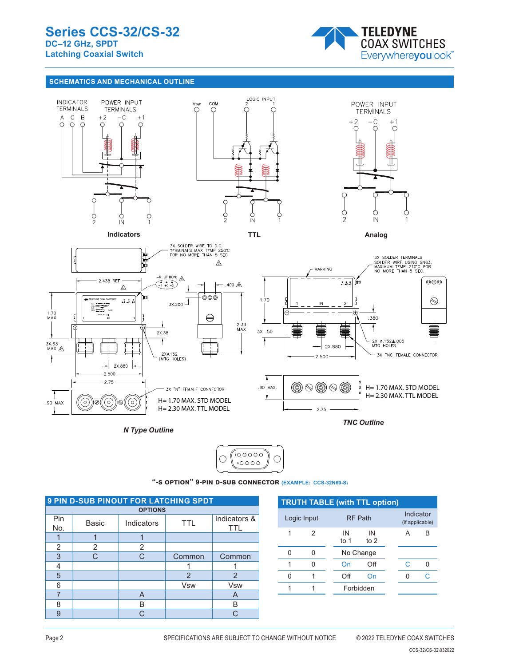

# **SCHEMATICS AND MECHANICAL OUTLINE**



 $100000$ О С 6

P/N 2706650 **"-s option" 9-pin d-sub connector (EXAMPLE: CCS-32N60-S)**

| <b>9 PIN D-SUB PINOUT FOR LATCHING SPDT</b> |       |                   |               |                     |  |
|---------------------------------------------|-------|-------------------|---------------|---------------------|--|
| <b>OPTIONS</b>                              |       |                   |               |                     |  |
| Pin<br>No.                                  | Basic | TTL<br>Indicators |               | Indicators &<br>TTL |  |
|                                             |       |                   |               |                     |  |
| 2                                           | 2     | 2                 |               |                     |  |
| 3                                           | C     | C                 | Common        | Common              |  |
| 4                                           |       |                   |               |                     |  |
| 5                                           |       |                   | $\mathcal{P}$ | $\mathcal{P}$       |  |
| 6                                           |       |                   | <b>Vsw</b>    | Vsw                 |  |
|                                             |       | A                 |               | A                   |  |
| 8                                           |       | в                 |               | R                   |  |
| g                                           |       | $\cap$            |               | ⌒                   |  |

| <b>TRUTH TABLE (with TTL option)</b> |   |            |                |  |                              |    |
|--------------------------------------|---|------------|----------------|--|------------------------------|----|
| Logic Input                          |   |            | <b>RF Path</b> |  | Indicator<br>(if applicable) |    |
| 1                                    | 2 | IN<br>to 1 | IN<br>to $2$   |  | А                            | B  |
| O                                    |   |            | No Change      |  |                              |    |
| 1                                    |   | On         | Off            |  | C                            |    |
| ი                                    |   | Off        | On             |  |                              | C. |
|                                      |   |            | Forbidden      |  |                              |    |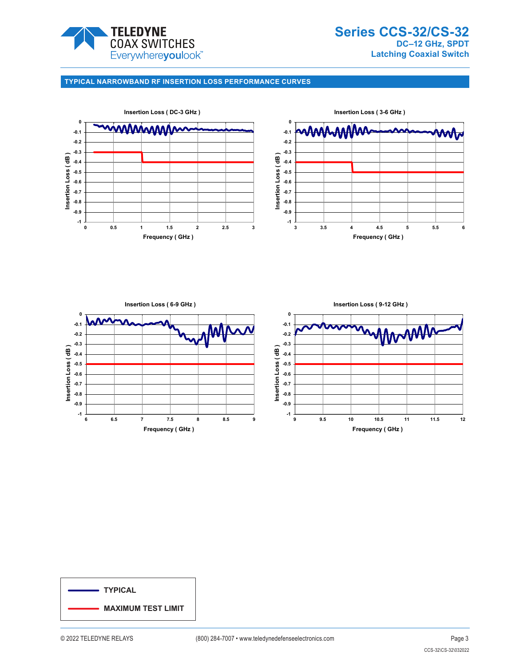

# **TYPICAL NARROWBAND RF INSERTION LOSS PERFORMANCE CURVES**





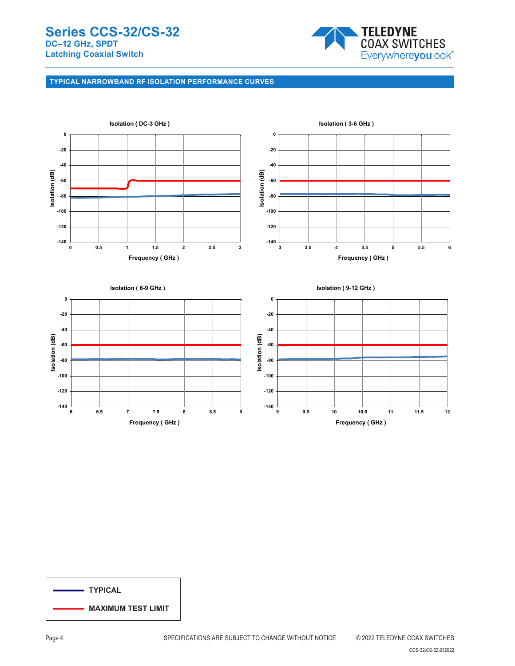

# **TYPICAL NARROWBAND RF ISOLATION PERFORMANCE CURVES**



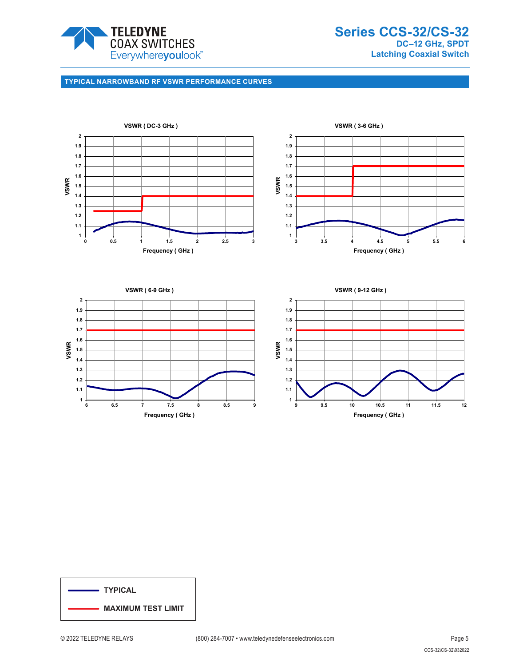

**Series CCS-32/CS-32 DC–12 GHz, SPDT Latching Coaxial Switch**

# **TYPICAL NARROWBAND RF VSWR PERFORMANCE CURVES**





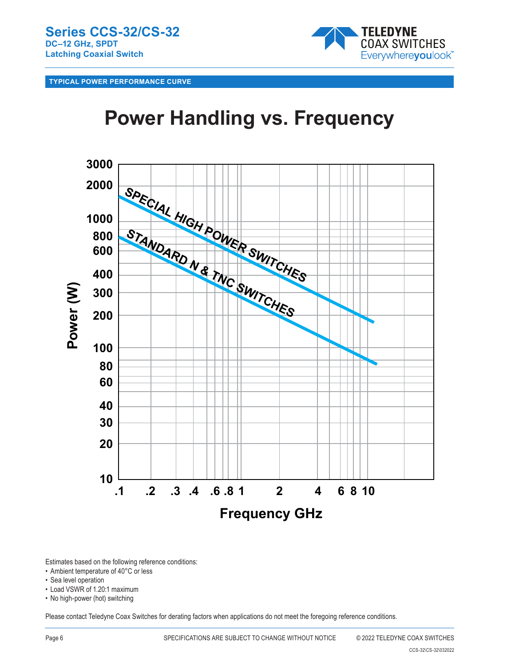

**TYPICAL POWER PERFORMANCE CURVE**

# **Power Handling vs. Frequency**



Estimates based on the following reference conditions:

- Ambient temperature of 40°C or less
- Sea level operation
- Load VSWR of 1.20:1 maximum
- No high-power (hot) switching

Please contact Teledyne Coax Switches for derating factors when applications do not meet the foregoing reference conditions.